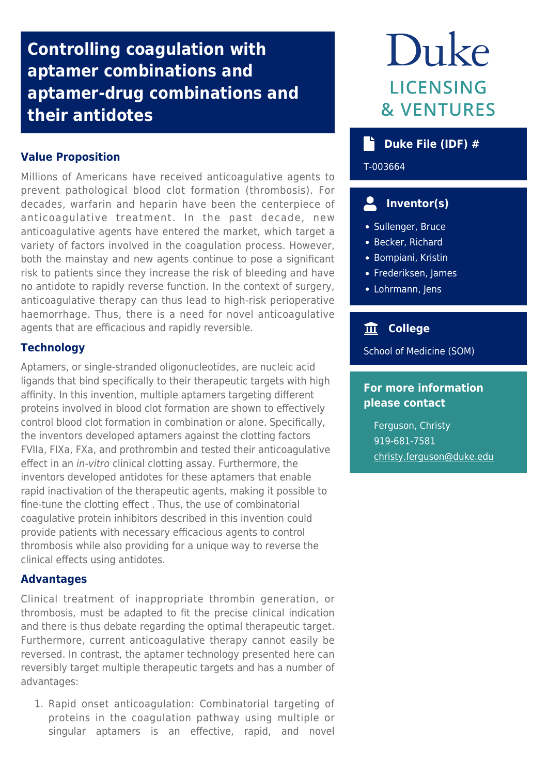# **Controlling coagulation with aptamer combinations and aptamer-drug combinations and their antidotes**

# **Value Proposition**

Millions of Americans have received anticoagulative agents to prevent pathological blood clot formation (thrombosis). For decades, warfarin and heparin have been the centerpiece of anticoagulative treatment. In the past decade, new anticoagulative agents have entered the market, which target a variety of factors involved in the coagulation process. However, both the mainstay and new agents continue to pose a significant risk to patients since they increase the risk of bleeding and have no antidote to rapidly reverse function. In the context of surgery, anticoagulative therapy can thus lead to high-risk perioperative haemorrhage. Thus, there is a need for novel anticoagulative agents that are efficacious and rapidly reversible.

## **Technology**

Aptamers, or single-stranded oligonucleotides, are nucleic acid ligands that bind specifically to their therapeutic targets with high affinity. In this invention, multiple aptamers targeting different proteins involved in blood clot formation are shown to effectively control blood clot formation in combination or alone. Specifically, the inventors developed aptamers against the clotting factors FVIIa, FIXa, FXa, and prothrombin and tested their anticoagulative effect in an in-vitro clinical clotting assay. Furthermore, the inventors developed antidotes for these aptamers that enable rapid inactivation of the therapeutic agents, making it possible to fine-tune the clotting effect . Thus, the use of combinatorial coagulative protein inhibitors described in this invention could provide patients with necessary efficacious agents to control thrombosis while also providing for a unique way to reverse the clinical effects using antidotes.

## **Advantages**

Clinical treatment of inappropriate thrombin generation, or thrombosis, must be adapted to fit the precise clinical indication and there is thus debate regarding the optimal therapeutic target. Furthermore, current anticoagulative therapy cannot easily be reversed. In contrast, the aptamer technology presented here can reversibly target multiple therapeutic targets and has a number of advantages:

1. Rapid onset anticoagulation: Combinatorial targeting of proteins in the coagulation pathway using multiple or singular aptamers is an effective, rapid, and novel

# Duke **LICENSING & VENTURES**

# **b** Duke File (IDF) #

T-003664

#### $\overline{\phantom{a}}$  **Inventor(s)**

- Sullenger, Bruce
- Becker, Richard
- Bompiani, Kristin
- Frederiksen, James
- Lohrmann, Jens

# **College**

School of Medicine (SOM)

# **For more information please contact**

Ferguson, Christy 919-681-7581 [christy.ferguson@duke.edu](mailto:christy.ferguson@duke.edu)